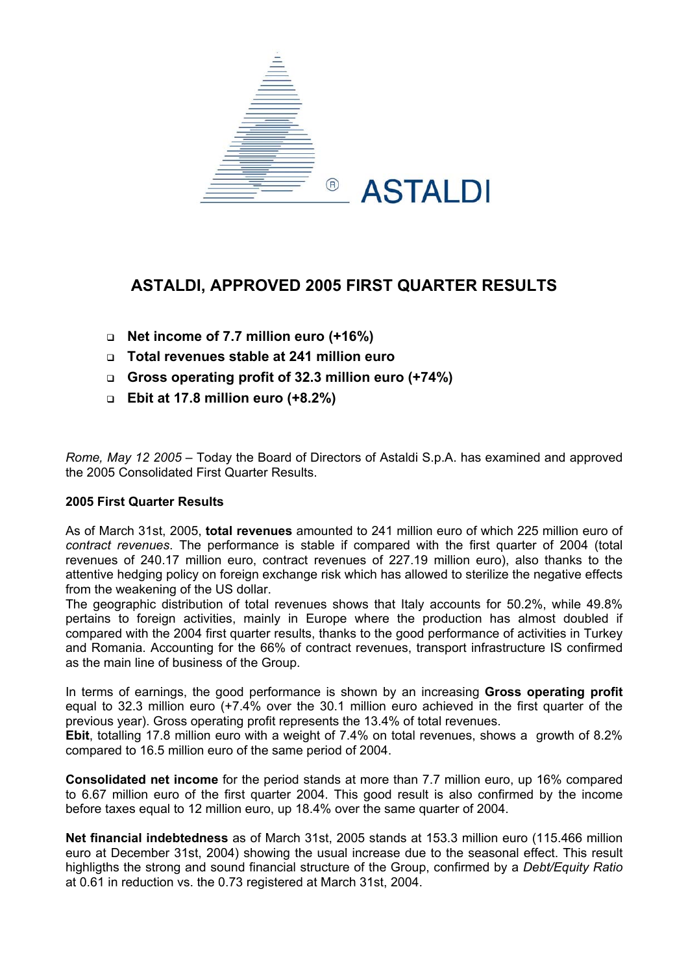

# **ASTALDI, APPROVED 2005 FIRST QUARTER RESULTS**

- **Net income of 7.7 million euro (+16%)**
- **Total revenues stable at 241 million euro**
- **Gross operating profit of 32.3 million euro (+74%)**
- **Ebit at 17.8 million euro (+8.2%)**

*Rome, May 12 2005* – Today the Board of Directors of Astaldi S.p.A. has examined and approved the 2005 Consolidated First Quarter Results.

## **2005 First Quarter Results**

As of March 31st, 2005, **total revenues** amounted to 241 million euro of which 225 million euro of *contract revenues*. The performance is stable if compared with the first quarter of 2004 (total revenues of 240.17 million euro, contract revenues of 227.19 million euro), also thanks to the attentive hedging policy on foreign exchange risk which has allowed to sterilize the negative effects from the weakening of the US dollar.

The geographic distribution of total revenues shows that Italy accounts for 50.2%, while 49.8% pertains to foreign activities, mainly in Europe where the production has almost doubled if compared with the 2004 first quarter results, thanks to the good performance of activities in Turkey and Romania. Accounting for the 66% of contract revenues, transport infrastructure IS confirmed as the main line of business of the Group.

In terms of earnings, the good performance is shown by an increasing **Gross operating profit** equal to 32.3 million euro (+7.4% over the 30.1 million euro achieved in the first quarter of the previous year). Gross operating profit represents the 13.4% of total revenues.

**Ebit**, totalling 17.8 million euro with a weight of 7.4% on total revenues, shows a growth of 8.2% compared to 16.5 million euro of the same period of 2004.

**Consolidated net income** for the period stands at more than 7.7 million euro, up 16% compared to 6.67 million euro of the first quarter 2004. This good result is also confirmed by the income before taxes equal to 12 million euro, up 18.4% over the same quarter of 2004.

**Net financial indebtedness** as of March 31st, 2005 stands at 153.3 million euro (115.466 million euro at December 31st, 2004) showing the usual increase due to the seasonal effect. This result highligths the strong and sound financial structure of the Group, confirmed by a *Debt/Equity Ratio* at 0.61 in reduction vs. the 0.73 registered at March 31st, 2004.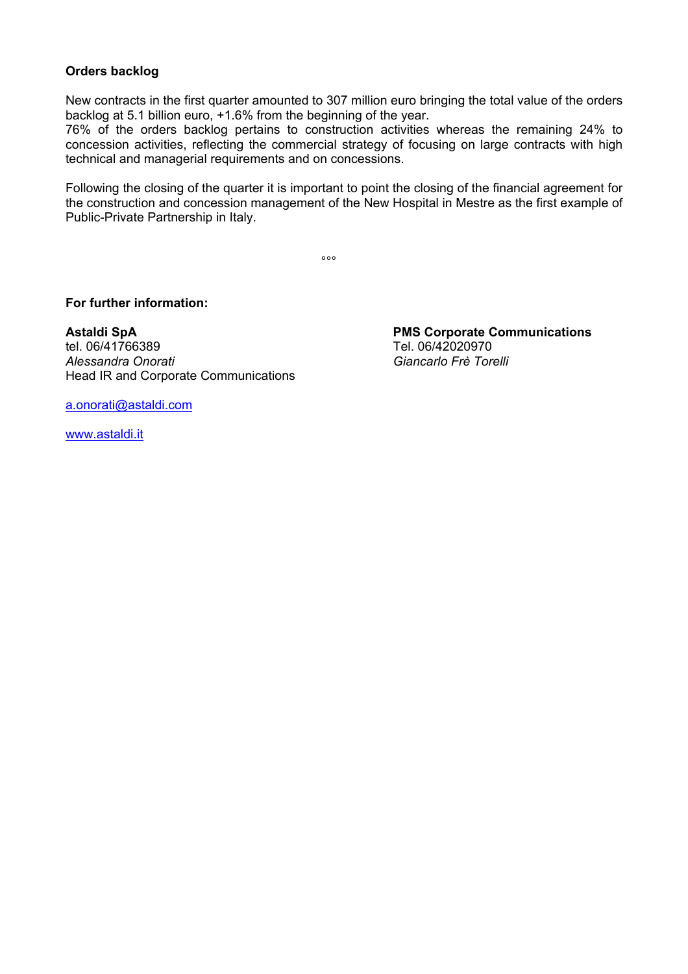## **Orders backlog**

New contracts in the first quarter amounted to 307 million euro bringing the total value of the orders backlog at 5.1 billion euro, +1.6% from the beginning of the year.

76% of the orders backlog pertains to construction activities whereas the remaining 24% to concession activities, reflecting the commercial strategy of focusing on large contracts with high technical and managerial requirements and on concessions.

Following the closing of the quarter it is important to point the closing of the financial agreement for the construction and concession management of the New Hospital in Mestre as the first example of Public-Private Partnership in Italy.

ли в община в община в община в община в община в община в община в община в община в община в община в община<br>В община в община в община в община в община в община в община в община в община в община в община в община в<br>

**For further information:** 

**Astaldi SpA PMS Corporate Communications**  tel. 06/41766389 Tel. 06/42020970 *Alessandra Onorati Giancarlo Frè Torelli* Head IR and Corporate Communications

[a.onorati@astaldi.com](mailto:a.onorati@astaldi.com)

[www.astaldi.it](http://www.astaldi.it/)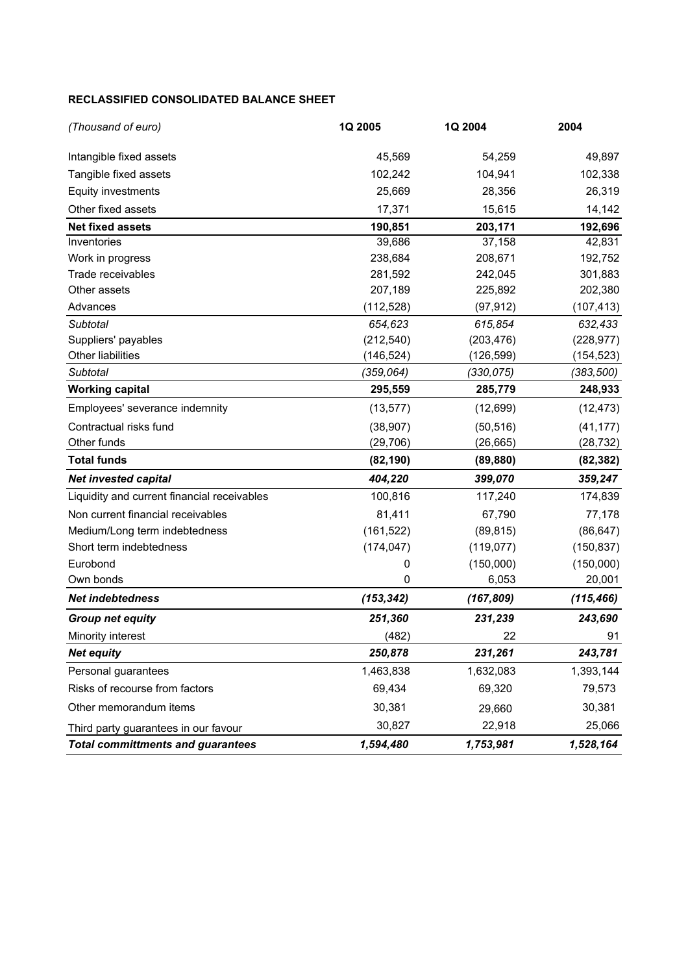#### **RECLASSIFIED CONSOLIDATED BALANCE SHEET**

| (Thousand of euro)                          | 1Q 2005    | 1Q 2004    | 2004       |  |
|---------------------------------------------|------------|------------|------------|--|
| Intangible fixed assets                     | 45,569     | 54,259     | 49,897     |  |
| Tangible fixed assets                       | 102,242    | 104,941    | 102,338    |  |
| Equity investments                          | 25,669     | 28,356     | 26,319     |  |
| Other fixed assets                          | 17,371     | 15,615     | 14,142     |  |
| <b>Net fixed assets</b>                     | 190,851    | 203,171    | 192,696    |  |
| Inventories                                 | 39,686     | 37,158     | 42,831     |  |
| Work in progress                            | 238,684    | 208,671    | 192,752    |  |
| Trade receivables                           | 281,592    | 242,045    | 301,883    |  |
| Other assets                                | 207,189    | 225,892    | 202,380    |  |
| Advances                                    | (112, 528) | (97, 912)  | (107, 413) |  |
| <b>Subtotal</b>                             | 654,623    | 615,854    | 632,433    |  |
| Suppliers' payables                         | (212, 540) | (203, 476) | (228, 977) |  |
| Other liabilities                           | (146,524)  | (126, 599) | (154, 523) |  |
| Subtotal                                    | (359, 064) | (330, 075) | (383, 500) |  |
| <b>Working capital</b>                      | 295,559    | 285,779    | 248,933    |  |
| Employees' severance indemnity              | (13, 577)  | (12, 699)  | (12, 473)  |  |
| Contractual risks fund                      | (38, 907)  | (50, 516)  | (41, 177)  |  |
| Other funds                                 | (29, 706)  | (26, 665)  | (28, 732)  |  |
| <b>Total funds</b>                          | (82, 190)  | (89, 880)  | (82, 382)  |  |
| <b>Net invested capital</b>                 | 404,220    | 399,070    | 359,247    |  |
| Liquidity and current financial receivables | 100,816    | 117,240    | 174,839    |  |
| Non current financial receivables           | 81,411     | 67,790     | 77,178     |  |
| Medium/Long term indebtedness               | (161, 522) | (89, 815)  | (86, 647)  |  |
| Short term indebtedness                     | (174, 047) | (119, 077) | (150, 837) |  |
| Eurobond                                    | 0          | (150,000)  | (150,000)  |  |
| Own bonds                                   | 0          | 6,053      | 20,001     |  |
| <b>Net indebtedness</b>                     | (153, 342) | (167, 809) | (115, 466) |  |
| <b>Group net equity</b>                     | 251,360    | 231,239    | 243,690    |  |
| Minority interest                           | (482)      | 22         | 91         |  |
| <b>Net equity</b>                           | 250,878    | 231,261    | 243,781    |  |
| Personal guarantees                         | 1,463,838  | 1,632,083  | 1,393,144  |  |
| Risks of recourse from factors              | 69,434     | 69,320     | 79,573     |  |
| Other memorandum items                      | 30,381     | 29,660     | 30,381     |  |
| Third party guarantees in our favour        | 30,827     | 22,918     | 25,066     |  |
| <b>Total committments and guarantees</b>    | 1,594,480  | 1,753,981  | 1,528,164  |  |